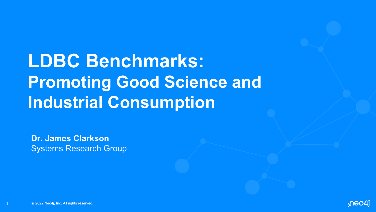**LDBC Benchmarks: Promoting Good Science and Industrial Consumption**

**Dr. James Clarkson** Systems Research Group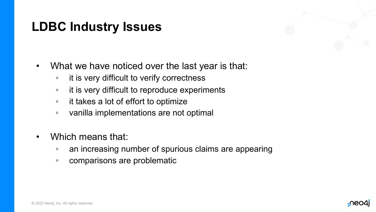### **LDBC Industry Issues**

- What we have noticed over the last year is that:
	- it is very difficult to verify correctness
	- it is very difficult to reproduce experiments
	- it takes a lot of effort to optimize
	- vanilla implementations are not optimal
- Which means that:
	- an increasing number of spurious claims are appearing
	- comparisons are problematic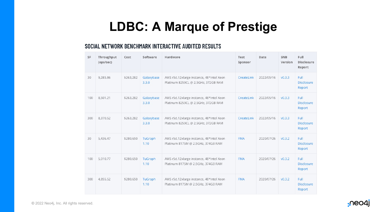## **LDBC: A Marque of Prestige**

#### SOCIAL NETWORK BENCHMARK INTERACTIVE AUDITED RESULTS

| <b>SF</b> | Throughput<br>(ops/sec) | Cost      | Software            | Hardware                                                                        | Test<br>Sponsor | Date       | <b>SNB</b><br>Version | Full<br><b>Disclosure</b><br>Report |
|-----------|-------------------------|-----------|---------------------|---------------------------------------------------------------------------------|-----------------|------------|-----------------------|-------------------------------------|
| 30        | 9,285.86                | \$263,282 | Galaxybase<br>3.3.0 | AWS r5d.12xlarge instance, 48*Intel Xeon<br>Platinum 8259CL @ 2.5GHz, 372GB RAM | CreateLink      | 2022/05/16 | v0.3.3                | Full<br><b>Disclosure</b><br>Report |
| 100       | 8,501.21                | \$263,282 | Galaxybase<br>3.3.0 | AWS r5d.12xlarge instance, 48*Intel Xeon<br>Platinum 8259CL @ 2.5GHz, 372GB RAM | CreateLink      | 2022/05/16 | V0.3.3                | Full<br><b>Disclosure</b><br>Report |
| 300       | 8.370.52                | \$263,282 | Galaxybase<br>3.3.0 | AWS r5d.12xlarge instance, 48*Intel Xeon<br>Platinum 8259CL @ 2.5GHz, 372GB RAM | CreateLink      | 2022/05/16 | v0.3.3                | Full<br><b>Disclosure</b><br>Report |
| 30        | 5,436.47                | \$280,650 | TuGraph<br>1.10     | AWS r5d.12xlarge instance, 48*Intel Xeon<br>Platinum 8175M @ 2.5GHz, 374GB RAM  | <b>FMA</b>      | 2020/07/26 | v0.3.2                | Full<br><b>Disclosure</b><br>Report |
| 100       | 5.010.77                | \$280,650 | TuGraph<br>1.10     | AWS r5d.12xlarge instance, 48*Intel Xeon<br>Platinum 8175M @ 2.5GHz, 374GB RAM  | <b>FMA</b>      | 2020/07/26 | v0.3.2                | Full<br><b>Disclosure</b><br>Report |
| 300       | 4,855.52                | \$280,650 | TuGraph<br>1.10     | AWS r5d.12xlarge instance, 48*Intel Xeon<br>Platinum 8175M @ 2.5GHz, 374GB RAM  | <b>FMA</b>      | 2020/07/26 | v0.3.2                | Full<br><b>Disclosure</b><br>Report |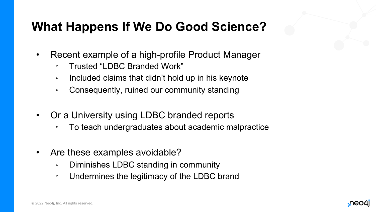### **What Happens If We Do Good Science?**

- Recent example of a high-profile Product Manager
	- Trusted "LDBC Branded Work"
	- Included claims that didn't hold up in his keynote
	- Consequently, ruined our community standing
- Or a University using LDBC branded reports
	- To teach undergraduates about academic malpractice
- Are these examples avoidable?
	- Diminishes LDBC standing in community
	- Undermines the legitimacy of the LDBC brand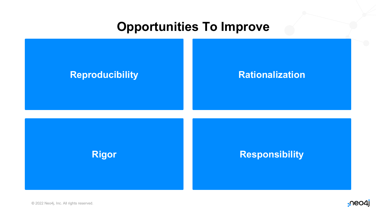#### **Opportunities To Improve**